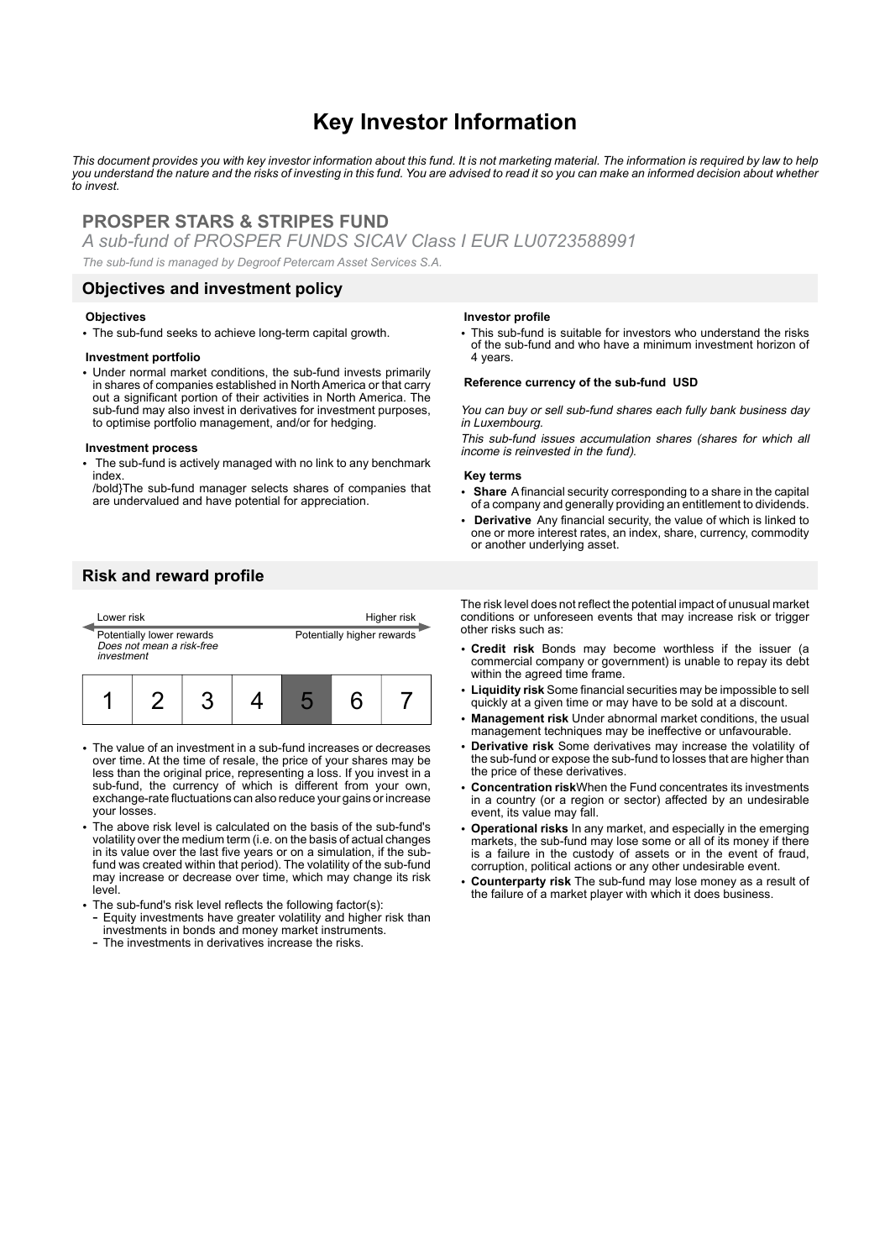# **Key Investor Information**

*This document provides you with key investor information about this fund. It is not marketing material. The information is required by law to help you understand the nature and the risks of investing in this fund. You are advised to read it so you can make an informed decision about whether to invest.*

# **PROSPER STARS & STRIPES FUND**

*A sub-fund of PROSPER FUNDS SICAV Class I EUR LU0723588991*

*The sub-fund is managed by Degroof Petercam Asset Services S.A.*

### **Objectives and investment policy**

#### **Objectives**

• The sub-fund seeks to achieve long-term capital growth.

### **Investment portfolio**

• Under normal market conditions, the sub-fund invests primarily in shares of companies established in North America or that carry out a significant portion of their activities in North America. The sub-fund may also invest in derivatives for investment purposes, to optimise portfolio management, and/or for hedging.

#### **Investment process**

The sub-fund is actively managed with no link to any benchmark index.

/bold}The sub-fund manager selects shares of companies that are undervalued and have potential for appreciation.

### **Risk and reward profile**



- The value of an investment in a sub-fund increases or decreases over time. At the time of resale, the price of your shares may be less than the original price, representing a loss. If you invest in a sub-fund, the currency of which is different from your own, exchange-rate fluctuations can also reduce your gains or increase your losses.
- The above risk level is calculated on the basis of the sub-fund's volatility over the medium term (i.e. on the basis of actual changes in its value over the last five years or on a simulation, if the subfund was created within that period). The volatility of the sub-fund may increase or decrease over time, which may change its risk level.
- The sub-fund's risk level reflects the following factor(s): - Equity investments have greater volatility and higher risk than investments in bonds and money market instruments.
	- The investments in derivatives increase the risks.

#### **Investor profile**

• This sub-fund is suitable for investors who understand the risks of the sub-fund and who have a minimum investment horizon of 4 years.

#### **Reference currency of the sub-fund USD**

You can buy or sell sub-fund shares each fully bank business day in Luxembourg.

This sub-fund issues accumulation shares (shares for which all income is reinvested in the fund).

#### **Key terms**

- 2 **Share** A financial security corresponding to a share in the capital of a company and generally providing an entitlement to dividends.
- 2 **Derivative** Any financial security, the value of which is linked to one or more interest rates, an index, share, currency, commodity or another underlying asset.

The risk level does not reflect the potential impact of unusual market conditions or unforeseen events that may increase risk or trigger other risks such as:

- 2 **Credit risk** Bonds may become worthless if the issuer (a commercial company or government) is unable to repay its debt within the agreed time frame.
- 2 **Liquidity risk** Some financial securities may be impossible to sell quickly at a given time or may have to be sold at a discount.
- 2 **Management risk** Under abnormal market conditions, the usual management techniques may be ineffective or unfavourable.
- 2 **Derivative risk** Some derivatives may increase the volatility of the sub-fund or expose the sub-fund to losses that are higher than the price of these derivatives.
- 2 **Concentration risk**When the Fund concentrates its investments in a country (or a region or sector) affected by an undesirable event, its value may fall.
- 2 **Operational risks** In any market, and especially in the emerging markets, the sub-fund may lose some or all of its money if there is a failure in the custody of assets or in the event of fraud, corruption, political actions or any other undesirable event.
- 2 **Counterparty risk** The sub-fund may lose money as a result of the failure of a market player with which it does business.